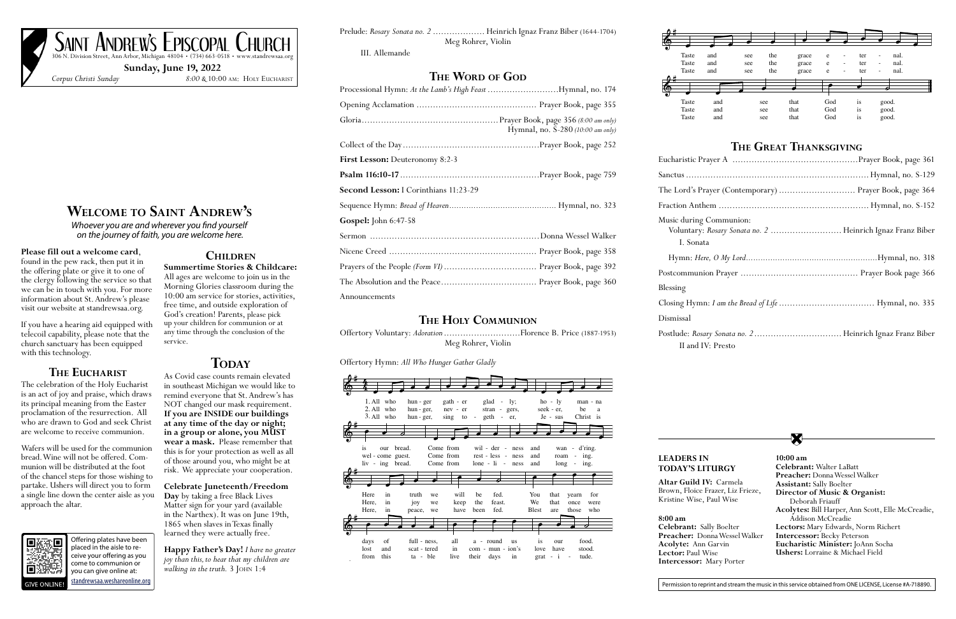# **Welcome to Saint Andrew's**

*Whoever you are and wherever you find yourself on the journey of faith, you are welcome here.* 

### **Please fill out a welcome card**,

found in the pew rack, then put it in the offering plate or give it to one of the clergy following the service so that we can be in touch with you. For more information about St. Andrew's please visit our website at standrewsaa.org.

If you have a hearing aid equipped with telecoil capability, please note that the church sanctuary has been equipped with this technology.

## **The Eucharist**

The celebration of the Holy Eucharist is an act of joy and praise, which draws its principal meaning from the Easter proclamation of the resurrection. All who are drawn to God and seek Christ are welcome to receive communion.

Wafers will be used for the communion bread. Wine will not be offered. Communion will be distributed at the foot of the chancel steps for those wishing to partake. Ushers will direct you to form a single line down the center aisle as you approach the altar.



**Happy Father's Day!** *I have no greater joy than this, to hear that my children are walking in the truth.* 3 JOHN 1:4

# **Children**

SAINT ANDREW'S EPISCOPAL CHURCH 306 N. Division Street, Ann Arbor, Michigan 48104 • (734) 663-0518 • www.standrewsaa.org

**Summertime Stories & Childcare:**  All ages are welcome to join us in the Morning Glories classroom during the 10:00 am service for stories, activities, free time, and outside exploration of God's creation! Parents, please pick up your children for communion or at any time through the conclusion of the service.

# **TODAY**

As Covid case counts remain elevated in southeast Michigan we would like to remind everyone that St. Andrew's has NOT changed our mask requirement. **If you are INSIDE our buildings at any time of the day or night; in a group or alone, you MUST wear a mask.** Please remember that this is for your protection as well as all of those around you, who might be at risk. We appreciate your cooperation.

**Celebrate Juneteenth/Freedom Day** by taking a free Black Lives Matter sign for your yard (available in the Narthex). It was on June 19th, 1865 when slaves in Texas finally learned they were actually free.

**Sunday, June 19, 2022** *Corpus Christi Sunday 8:00 &* 10:00 am: Holy Eucharist

Offering plates have been placed in the aisle to receive your offering as you come to communion or you can give online at: [standrewsaa.weshareonline.org](https://standrewsaa.weshareonline.org) Blessing

Closing Hym

Dismissal

Postlude: Ros II and

Prelude: *Rosary Sonata no. 2* ................... Heinrich Ignaz Franz Biber (1644-1704) Meg Rohrer, Violin

III. Allemande

# **The Word of God**

| Processional Hymn: At the Lamb's High Feast Hymnal, no. 174 |                                   |
|-------------------------------------------------------------|-----------------------------------|
|                                                             |                                   |
|                                                             | Hymnal, no. S-280 (10:00 am only) |
|                                                             |                                   |
| First Lesson: Deuteronomy 8:2-3                             |                                   |
|                                                             |                                   |
| Second Lesson: I Corinthians 11:23-29                       |                                   |
|                                                             |                                   |
| Gospel: John 6:47-58                                        |                                   |
|                                                             |                                   |
|                                                             |                                   |
|                                                             |                                   |
|                                                             |                                   |
| Announcements                                               |                                   |

# **The Holy Communion**

Offertory Voluntary: *Adoration* ............................Florence B. Price (1887-1953) Meg Rohrer, Violin

Offertory Hymn: *All Who Hunger Gather Gladly*

## The Great Thanksgivin  $\frac{1}{2}$

**8:00 am Celebrant:** Sally Boelter **Preacher:** Donna Wessel Walker **Acolyte:** Ann Garvin **Lector:** Paul Wise **Intercessor:** Mary Porter

**10:00 am Celebrant:** Walter LaBatt **Preacher:** Donna Wessel Walker **Assistant:** Sally Boelter **Director of Music & Organist:**  Deborah Friauff **Acolytes:** Bill Harper, Ann Scott, Elle McCreadie, Addison McCreadie **Lectors:** Mary Edwards, Norm Richert **Intercessor:** Becky Peterson **Eucharistic Minister:** JoAnn Socha **Ushers:** Lorraine & Michael Field

**Altar Guild IV:** Carmela Brown, Floice Frazer, Liz Frieze, Kristine Wise, Paul Wise

### **LEADERS IN TODAY'S LITURGY**

| The Lord's Prayer (Contemporary)  Prayer Book, page 364                                            |  |
|----------------------------------------------------------------------------------------------------|--|
|                                                                                                    |  |
| Music during Communion:<br>Voluntary: Rosary Sonata no. 2  Heinrich Ignaz Franz Biber<br>I. Sonata |  |
|                                                                                                    |  |
|                                                                                                    |  |
| Blessing                                                                                           |  |
|                                                                                                    |  |
| Dismissal                                                                                          |  |
| II and IV: Presto                                                                                  |  |







 $a<sub>l</sub>$  $\ddot{\phantom{a}}$ T<sub>1</sub>ST  $\mathbf{r}$  $\sum_{i=1}^{n}$ 

Fraction Ant

Music during I. Sona

Postcommun